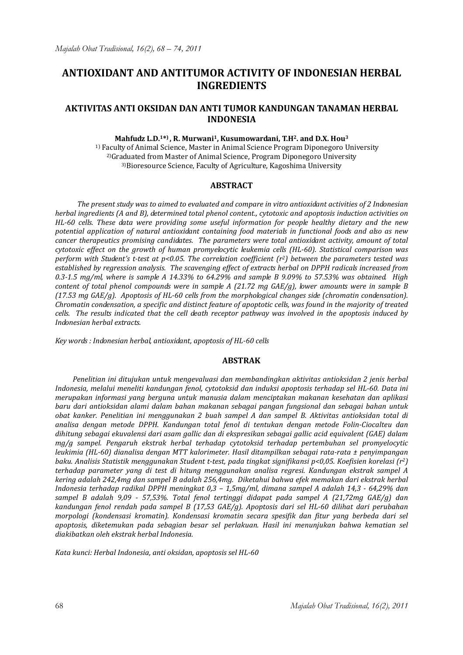# **ANTIOXIDANT AND ANTITUMOR ACTIVITY OF INDONESIAN HERBAL INGREDIENTS**

# **AKTIVITAS ANTI OKSIDAN DAN ANTI TUMOR KANDUNGAN TANAMAN HERBAL INDONESIA**

## **Mahfudz L.D.1\* ) , R. Murwani1, Kusumowardani, T.H2. and D.X. Hou<sup>3</sup>**

<sup>1)</sup> Faculty of Animal Science, Master in Animal Science Program Diponegoro University 2)Graduated from Master of Animal Science, Program Diponegoro University 3)Bioresource Science, Faculty of Agriculture, Kagoshima University

# **ABSTRACT**

*The present study was to aimed to evaluated and compare in vitro antioxidant activities of 2 Indonesian herbal ingredients (A and B), determined total phenol content., cytotoxic and apoptosis induction activities on HL-60 cells. These data were providing some useful information for people healthy dietary and the new potential application of natural antioxidant containing food materials in functional foods and also as new cancer therapeutics promising candidates. The parameters were total antioxidant activity, amount of total cytotoxic effect on the growth of human promyelocytic leukemia cells (HL-60). Statistical comparison was perform with Student's t-test at p<0.05. The correlation coefficient (r2) between the parameters tested was established by regression analysis. The scavenging effect of extracts herbal on DPPH radicals increased from 0.3-1.5 mg/ml, where is sample A 14.33% to 64.29% and sample B 9.09% to 57.53% was obtained. High content of total phenol compounds were in sample A (21.72 mg GAE/g), lower amounts were in sample B (17.53 mg GAE/g). Apoptosis of HL-60 cells from the morphological changes side (chromatin condensation). Chromatin condensation, a specific and distinct feature of apoptotic cells, was found in the majority of treated cells. The results indicated that the cell death receptor pathway was involved in the apoptosis induced by Indonesian herbal extracts.* 

*Key words : Indonesian herbal, antioxidant, apoptosis of HL-60 cells* 

#### **ABSTRAK**

*Penelitian ini ditujukan untuk mengevaluasi dan membandingkan aktivitas antioksidan 2 jenis herbal Indonesia, melalui meneliti kandungan fenol, cytotoksid dan induksi apoptosis terhadap sel HL-60. Data ini merupakan informasi yang berguna untuk manusia dalam menciptakan makanan kesehatan dan aplikasi baru dari antioksidan alami dalam bahan makanan sebagai pangan fungsional dan sebagai bahan untuk obat kanker. Penelitian ini menggunakan 2 buah sampel A dan sampel B. Aktivitas antioksidan total di analisa dengan metode DPPH. Kandungan total fenol di tentukan dengan metode Folin-Ciocalteu dan dihitung sebagai ekuvalensi dari asam gallic dan di ekspresikan sebagai gallic acid equivalent (GAE) dalam mg/g sampel. Pengaruh ekstrak herbal terhadap cytotoksid terhadap pertembuhan sel promyelocytic leukimia (HL-60) dianalisa dengan MTT kalorimeter. Hasil ditampilkan sebagai rata-rata ± penyimpangan baku. Analisis Statistik menggunakan Student t-test, pada tingkat signifikansi p<0,05. Koefisien korelasi (r2) terhadap parameter yang di test di hitung menggunakan analisa regresi. Kandungan ekstrak sampel A kering adalah 242,4mg dan sampel B adalah 256,4mg. Diketahui bahwa efek memakan dari ekstrak herbal Indonesia terhadap radikal DPPH meningkat 0,3 – 1,5mg/ml, dimana sampel A adalah 14,3 - 64,29% dan sampel B adalah 9,09 - 57,53%. Total fenol tertinggi didapat pada sampel A (21,72mg GAE/g) dan kandungan fenol rendah pada sampel B (17,53 GAE/g). Apoptosis dari sel HL-60 dilihat dari perubahan morpologi (kondensasi kromatin). Kondensasi kromatin secara spesifik dan fitur yang berbeda dari sel apoptosis, diketemukan pada sebagian besar sel perlakuan. Hasil ini menunjukan bahwa kematian sel diakibatkan oleh ekstrak herbal Indonesia.* 

*Kata kunci: Herbal Indonesia, anti oksidan, apoptosis sel HL-60*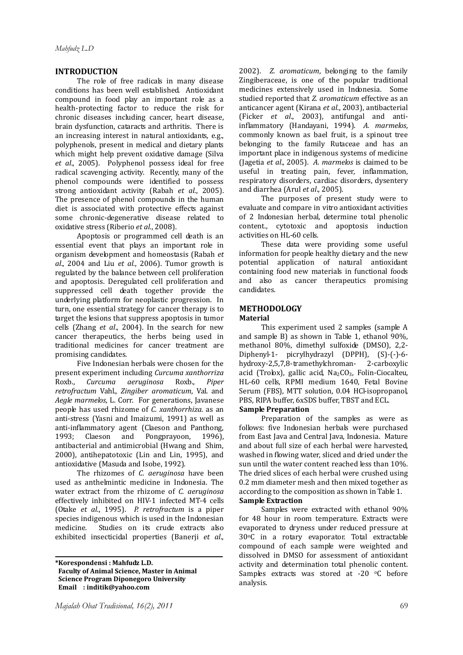# **INTRODUCTION**

The role of free radicals in many disease conditions has been well established. Antioxidant compound in food play an important role as a health-protecting factor to reduce the risk for chronic diseases including cancer, heart disease, brain dysfunction, cataracts and arthritis. There is an increasing interest in natural antioxidants, e.g., polyphenols, present in medical and dietary plants which might help prevent oxidative damage (Silva *et al*., 2005). Polyphenol possess ideal for free radical scavenging activity. Recently, many of the phenol compounds were identified to possess strong antioxidant activity (Rabah *et al*., 2005). The presence of phenol compounds in the human diet is associated with protective effects against some chronic-degenerative disease related to oxidative stress (Riberio *et al*., 2008).

Apoptosis or programmed cell death is an essential event that plays an important role in organism development and homeostasis (Rabah *et al*., 2004 and Liu *et al*., 2006). Tumor growth is regulated by the balance between cell proliferation and apoptosis. Deregulated cell proliferation and suppressed cell death together provide the underlying platform for neoplastic progression. In turn, one essential strategy for cancer therapy is to target the lesions that suppress apoptosis in tumor cells (Zhang *et al*., 2004). In the search for new cancer therapeutics, the herbs being used in traditional medicines for cancer treatment are promising candidates.

Five Indonesian herbals were chosen for the present experiment including *Curcuma xanthorriza* Roxb., *Curcuma aeruginosa* Roxb., *Piper retrofractum* Vahl., *Zingiber aromaticum*, Val. and *Aegle marmelos*, L. Corr. For generations, Javanese people has used rhizome of *C. xanthorrhiza*. as an anti-stress (Yasni and Imaizumi, 1991) as well as anti-inflammatory agent (Claeson and Panthong, 1993; Claeson and Pongprayoon, 1996), antibacterial and antimicrobial (Hwang and Shim, 2000), antihepatotoxic (Lin and Lin, 1995), and antioxidative (Masuda and Isobe, 1992).

The rhizomes of *C. aeruginosa* have been used as anthelmintic medicine in Indonesia. The water extract from the rhizome of *C. aeruginosa*  effectively inhibited on HIV-1 infected MT-4 cells (Otake *et al*., 1995). *P. retrofractum* is a piper species indigenous which is used in the Indonesian medicine. Studies on its crude extracts also exhibited insecticidal properties (Banerji *et al*.,

2002). *Z. aromaticum*, belonging to the family Zingiberaceae, is one of the popular traditional medicines extensively used in Indonesia. Some studied reported that *Z. aromaticum* effective as an anticancer agent (Kirana *et al*., 2003), antibacterial (Ficker *et al*., 2003), antifungal and antiinflammatory (Handayani, 1994). *A. marmelos*, commonly known as bael fruit, is a spinout tree belonging to the family Rutaceae and has an important place in indigenous systems of medicine (Jagetia *et al*., 2005). *A. marmelos* is claimed to be useful in treating pain, fever, inflammation, respiratory disorders, cardiac disorders, dysentery and diarrhea (Arul *et al*., 2005).

The purposes of present study were to evaluate and compare in vitro antioxidant activities of 2 Indonesian herbal, determine total phenolic content., cytotoxic and apoptosis induction activities on HL-60 cells.

These data were providing some useful information for people healthy dietary and the new potential application of natural antioxidant containing food new materials in functional foods and also as cancer therapeutics promising candidates.

# **METHODOLOGY**

## **Material**

This experiment used 2 samples (sample A and sample B) as shown in Table 1, ethanol 90%, methanol 80%, dimethyl sulfoxide (DMSO), 2,2- Diphenyl-1- picrylhydrazyl (DPPH), (S)-(-)-6 hydroxy-2,5,7,8-tramethylchroman- 2-carboxylic acid (Trolox), gallic acid,  $Na<sub>2</sub>CO<sub>3</sub>$ , Folin-Ciocalteu, HL-60 cells, RPMI medium 1640, Fetal Bovine Serum (FBS), MTT solution, 0.04 HCl-isopropanol, PBS, RIPA buffer, 6xSDS buffer, TBST and ECL. **Sample Preparation** 

Preparation of the samples as were as follows: five Indonesian herbals were purchased from East Java and Central Java, Indonesia. Mature and about full size of each herbal were harvested, washed in flowing water, sliced and dried under the sun until the water content reached less than 10%. The dried slices of each herbal were crushed using 0.2 mm diameter mesh and then mixed together as according to the composition as shown in Table 1. **Sample Extraction** 

Samples were extracted with ethanol 90% for 48 hour in room temperature. Extracts were evaporated to dryness under reduced pressure at 30oC in a rotary evaporator. Total extractable compound of each sample were weighted and dissolved in DMSO for assessment of antioxidant activity and determination total phenolic content. Samples extracts was stored at -20 °C before analysis.

**<sup>\*</sup>Korespondensi : Mahfudz L.D. Faculty of Animal Science, Master in Animal Science Program Diponegoro University Email : inditik@yahoo.com**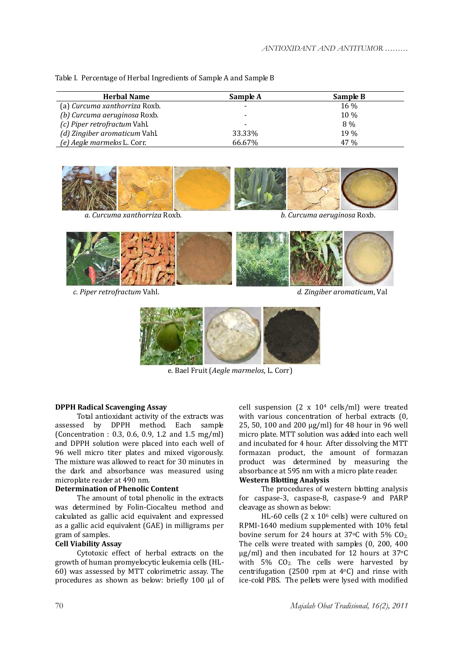|  | Table I. Percentage of Herbal Ingredients of Sample A and Sample B |  |  |
|--|--------------------------------------------------------------------|--|--|

| <b>Herbal Name</b>            | Sample A                 | Sample B |
|-------------------------------|--------------------------|----------|
| (a) Curcuma xanthorriza Roxb. | $\overline{\phantom{a}}$ | $16\%$   |
| (b) Curcuma aeruginosa Roxb.  | $\overline{\phantom{a}}$ | 10 %     |
| (c) Piper retrofractum Vahl.  | $\overline{\phantom{a}}$ | 8%       |
| (d) Zingiber aromaticum Vahl. | 33.33%                   | 19%      |
| (e) Aegle marmelos L. Corr.   | 66.67%                   | 47 %     |



*a. Curcuma xanthorriza* Roxb. *b. Curcuma aeruginosa* Roxb.



*c. Piper retrofractum* Vahl. *d. Zingiber aromaticum*, Val



e. Bael Fruit (*Aegle marmelos*, L. Corr)

# **DPPH Radical Scavenging Assay**

Total antioxidant activity of the extracts was assessed by DPPH method. Each sample (Concentration : 0.3, 0.6, 0.9, 1.2 and 1.5 mg/ml) and DPPH solution were placed into each well of 96 well micro titer plates and mixed vigorously. The mixture was allowed to react for 30 minutes in the dark and absorbance was measured using microplate reader at 490 nm.

# **Determination of Phenolic Content**

The amount of total phenolic in the extracts was determined by Folin-Ciocalteu method and calculated as gallic acid equivalent and expressed as a gallic acid equivalent (GAE) in milligrams per gram of samples.

# **Cell Viability Assay**

Cytotoxic effect of herbal extracts on the growth of human promyelocytic leukemia cells (HL-60) was assessed by MTT colorimetric assay. The procedures as shown as below: briefly 100 μl of cell suspension  $(2 \times 10^4 \text{ cells/ml})$  were treated with various concentration of herbal extracts (0, 25, 50, 100 and 200 μg/ml) for 48 hour in 96 well micro plate. MTT solution was added into each well and incubated for 4 hour. After dissolving the MTT formazan product, the amount of formazan product was determined by measuring the absorbance at 595 nm with a micro plate reader.

# **Western Blotting Analysis**

The procedures of western blotting analysis for caspase-3, caspase-8, caspase-9 and PARP cleavage as shown as below:

HL-60 cells (2 x 10<sup>6</sup> cells) were cultured on RPMI-1640 medium supplemented with 10% fetal bovine serum for 24 hours at  $37^{\circ}$ C with 5% CO<sub>2.</sub> The cells were treated with samples (0, 200, 400 μg/ml) and then incubated for 12 hours at 37oC with 5%  $CO<sub>2</sub>$ . The cells were harvested by centrifugation (2500 rpm at  $4^{\circ}$ C) and rinse with ice-cold PBS. The pellets were lysed with modified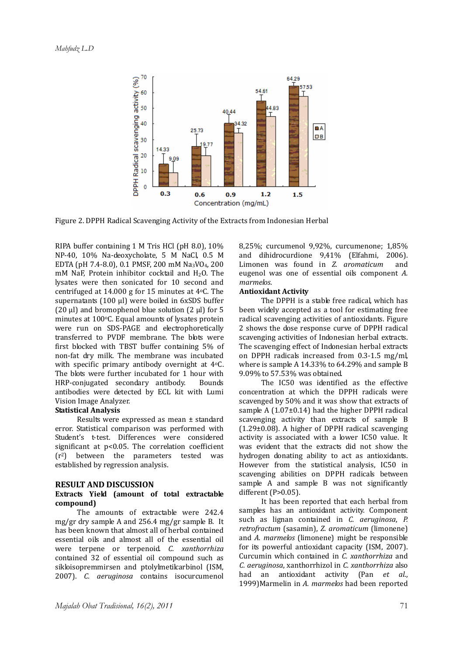

Figure 2. DPPH Radical Scavenging Activity of the Extracts from Indonesian Herbal

RIPA buffer containing 1 M Tris HCl (pH 8.0), 10% NP-40, 10% Na-deoxycholate, 5 M NaCl, 0.5 M EDTA (pH 7.4-8.0), 0.1 PMSF, 200 mM Na3VO4, 200  $m$ M NaF, Protein inhibitor cocktail and H<sub>2</sub>O. The lysates were then sonicated for 10 second and centrifuged at 14.000 g for 15 minutes at 4oC. The supernatants (100 μl) were boiled in 6xSDS buffer (20  $\mu$ l) and bromophenol blue solution (2  $\mu$ l) for 5 minutes at  $100^{\circ}$ C. Equal amounts of lysates protein were run on SDS-PAGE and electrophoretically transferred to PVDF membrane. The blots were first blocked with TBST buffer containing 5% of non-fat dry milk. The membrane was incubated with specific primary antibody overnight at 4°C. The blots were further incubated for 1 hour with HRP-conjugated secondary antibody. Bounds antibodies were detected by ECL kit with Lumi Vision Image Analyzer.

#### **Statistical Analysis**

Results were expressed as mean ± standard error. Statistical comparison was performed with Student's t-test. Differences were considered significant at p<0.05. The correlation coefficient  $(r^2)$  between the parameters tested was established by regression analysis.

#### **RESULT AND DISCUSSION**

## **Extracts Yield (amount of total extractable compound)**

The amounts of extractable were 242.4 mg/gr dry sample A and 256.4 mg/gr sample B. It has been known that almost all of herbal contained essential oils and almost all of the essential oil were terpene or terpenoid. *C. xanthorrhiza*  contained 32 of essential oil compound such as sikloisopremmirsen and ptolylmetilcarbinol (ISM, 2007). *C. aeruginosa* contains isocurcumenol

8,25%; curcumenol 9,92%, curcumenone; 1,85% and dihidrocurdione 9,41% (Elfahmi, 2006). Limonen was found in *Z. aromaticum* and eugenol was one of essential oils component *A. marmelos.*

## **Antioxidant Activity**

The DPPH is a stable free radical, which has been widely accepted as a tool for estimating free radical scavenging activities of antioxidants. Figure 2 shows the dose response curve of DPPH radical scavenging activities of Indonesian herbal extracts. The scavenging effect of Indonesian herbal extracts on DPPH radicals increased from 0.3-1.5 mg/ml, where is sample A 14.33% to 64.29% and sample B 9.09% to 57.53% was obtained.

The IC50 was identified as the effective concentration at which the DPPH radicals were scavenged by 50% and it was show that extracts of sample A  $(1.07\pm0.14)$  had the higher DPPH radical scavenging activity than extracts of sample B (1.29±0.08). A higher of DPPH radical scavenging activity is associated with a lower IC50 value. It was evident that the extracts did not show the hydrogen donating ability to act as antioxidants. However from the statistical analysis, IC50 in scavenging abilities on DPPH radicals between sample A and sample B was not significantly different (P>0.05).

It has been reported that each herbal from samples has an antioxidant activity. Component such as lignan contained in *C. aeruginosa*, *P. retrofractum* (sasamin), *Z. aromaticum* (limonene) and *A. marmelos* (limonene) might be responsible for its powerful antioxidant capacity (ISM, 2007). Curcumin which contained in *C. xanthorrhiza* and *C. aeruginosa*, xanthorrhizol in *C. xanthorrhiza* also had an antioxidant activity (Pan *et al*., 1999)Marmelin in *A. marmelos* had been reported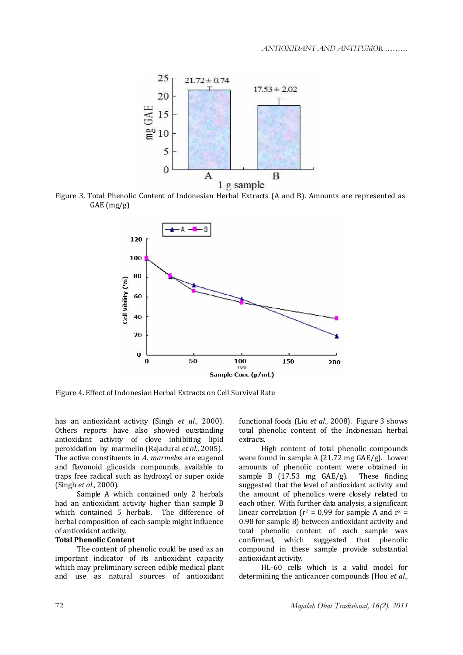

Figure 3. Total Phenolic Content of Indonesian Herbal Extracts (A and B). Amounts are represented as GAE (mg/g)



Figure 4. Effect of Indonesian Herbal Extracts on Cell Survival Rate

has an antioxidant activity (Singh *et al*., 2000). Others reports have also showed outstanding antioxidant activity of clove inhibiting lipid peroxidation by marmelin (Rajadurai *et al*., 2005). The active constituents in *A. marmelos* are eugenol and flavonoid glicosida compounds, available to traps free radical such as hydroxyl or super oxide (Singh *et al*., 2000).

Sample A which contained only 2 herbals had an antioxidant activity higher than sample B which contained 5 herbals. The difference of herbal composition of each sample might influence of antioxidant activity.

# **Total Phenolic Content**

The content of phenolic could be used as an important indicator of its antioxidant capacity which may preliminary screen edible medical plant and use as natural sources of antioxidant functional foods (Liu *et al*., 2008). Figure 3 shows total phenolic content of the Indonesian herbal extracts.

High content of total phenolic compounds were found in sample A (21.72 mg GAE/g). Lower amounts of phenolic content were obtained in sample B  $(17.53 \text{ mg } GAE/g)$ . These finding suggested that the level of antioxidant activity and the amount of phenolics were closely related to each other. With further data analysis, a significant linear correlation ( $r^2$  = 0.99 for sample A and  $r^2$  = 0.98 for sample B) between antioxidant activity and total phenolic content of each sample was confirmed, which suggested that phenolic compound in these sample provide substantial antioxidant activity.

HL-60 cells which is a valid model for determining the anticancer compounds (Hou *et al*.,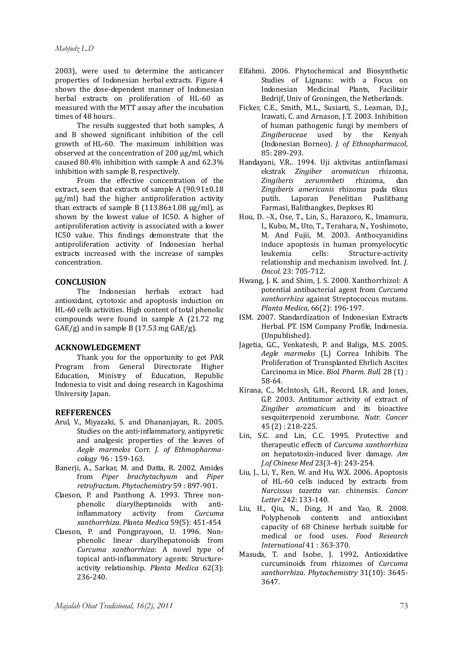2003), were used to determine the anticancer properties of Indonesian herbal extracts.Figure 4 shows the dose-dependent manner of Indonesian herbal extracts on proliferation of HL-60 as measured with the MTT assay after the incubation times of 48 hours.

The results suggested that both samples, A and B showed significant inhibition of the cell growth of HL-60. The maximum inhibition was observed at the concentration of 200 μg/ml, which caused 80.4% inhibition with sample A and 62.3% inhibition with sample B, respectively.

From the effective concentration of the extract, seen that extracts of sample A  $(90.91 \pm 0.18)$ μg/ml) had the higher antiproliferation activity than extracts of sample B  $(113.86 \pm 1.08 \text{ µg/ml})$ , as shown by the lowest value of IC50. A higher of antiproliferation activity is associated with a lower IC50 value. This findings demonstrate that the antiproliferation activity of Indonesian herbal extracts increased with the increase of samples concentration.

## **CONCLUSION**

The Indonesian herbals extract had antioxidant, cytotoxic and apoptosis induction on HL-60 cells activities. High content of total phenolic compounds were found in sample A (21.72 mg  $GAE/g$  and in sample B (17.53 mg  $GAE/g$ ).

# **ACKNOWLEDGEMENT**

Thank you for the opportunity to get PAR Program from General Directorate Higher Education, Ministry of Education, Republic Indonesia to visit and doing research in Kagoshima University Japan.

## **REFFERENCES**

- Arul, V., Miyazaki, S. and Dhananjayan, R.. 2005. Studies on the anti-inflammatory, antipyretic and analgesic properties of the leaves of *Aegle marmelos* Corr. *J. of Ethmopharmacology* 96 : 159-163.
- Banerii, A., Sarkar, M. and Datta, R. 2002. Amides from *Piper brachytachyum* and *Piper retrofractum*. *Phytochemistry* 59 : 897-901.
- Claeson, P. and Panthong A. 1993. Three nonphenolic diarylheptanoids with antiinflammatory activity from *Curcuma xanthorrhiza*. *Planta Medica* 59(5): 451-454
- Claeson, P. and Pongprayoon, U. 1996. Nonphenolic linear diarylhepatonoids from *Curcuma xanthorrhiza*: A novel type of topical anti-inflammatory agents: Structureactivity relationship. *Planta Medica* 62(3): 236-240.
- Elfahmi. 2006. Phytochemical and Biosynthetic Studies of Lignans: with a Focus on Indonesian Medicinal Plants, Facilitair Bedrijf, Univ of Groningen, the Netherlands.
- Ficker, C.E., Smith, M.L., Susiarti, S., Leaman, D.J., Irawati, C. and Arnason, J.T. 2003. Inhibition of human pathogenic fungi by members of *Zingiberaceae* used by the Kenyah (Indonesian Borneo). *J. of Ethnopharmacol*, 85: 289-293.
- Handayani, V.R.. 1994. Uji aktivitas antiinflamasi ekstrak *Zingiber aromaticun* rhizoma, *Zingiberis zerummbeti* rhizoma, dan *Zingiberis americanis* rhizoma pada tikus putih. Laporan Penelitian Puslitbang Farmasi, Balitbangkes, Depkses Rl
- Hou, D. –X., Ose, T., Lin, S., Harazoro, K., Imamura, I., Kubo, M., Uto, T., Terahara, N., Yoshimoto, M. And Fujii, M. 2003. Anthocyanidins induce apoptosis in human promyelocytic leukemia cells: Structure-activity relationship and mechanism involved. Int. *J. Oncol.* 23: 705-712.
- Hwang, J. K. and Shim, J. S. 2000. Xanthorrhizol: A potential antibacterial agent from *Curcuma xanthorrhiza* against Streptococcus mutans. *Planta Medica,* 66(2): 196-197.
- ISM. 2007. Standardization of Indonesian Extracts Herbal. PT. ISM Company Profile, Indonesia. (Unpublished).
- Jagetia, G.C., Venkatesh, P. and Baliga, M.S. 2005. *Aegle marmelos* (L) Correa Inhibits The Proliferation of Transplanted Ehrlich Ascites Carcinoma in Mice. *Biol. Pharm. Bull.* 28 (1) : 58-64.
- Kirana, C., McIntosh, G.H., Record, I.R. and Jones, G.P. 2003. Antitumor activity of extract of *Zingiber aromaticum* and its bioactive sesquiterpenoid zerumbone. *Nutr. Cancer* 45 (2) : 218-225.
- Lin, S.C. and Lin, C.C. 1995. Protective and therapeutic effects of *Curcuma xanthorrhiza* on hepatotoxin-induced liver damage. *Am J.of Chinese Med* 23(3-4): 243-254.
- Liu, J., Li, Y., Ren, W. and Hu, W.X. 2006. Apoptosis of HL-60 cells induced by extracts from *Narcissus tazetta* var. chinensis. *Cancer Letter* 242: 133-140.
- Liu, H., Qiu, N., Ding, H and Yao, R. 2008. Polyphenols contents and antioxidant capacity of 68 Chinese herbals suitable for medical or food uses. *Food Research International* 41 : 363-370.
- Masuda, T. and Isobe, J. 1992, Antioxidative curcuminoids from rhizomes of *Curcuma xanthorrhiza*. *Phytochemistry* 31(10): 3645- 3647.